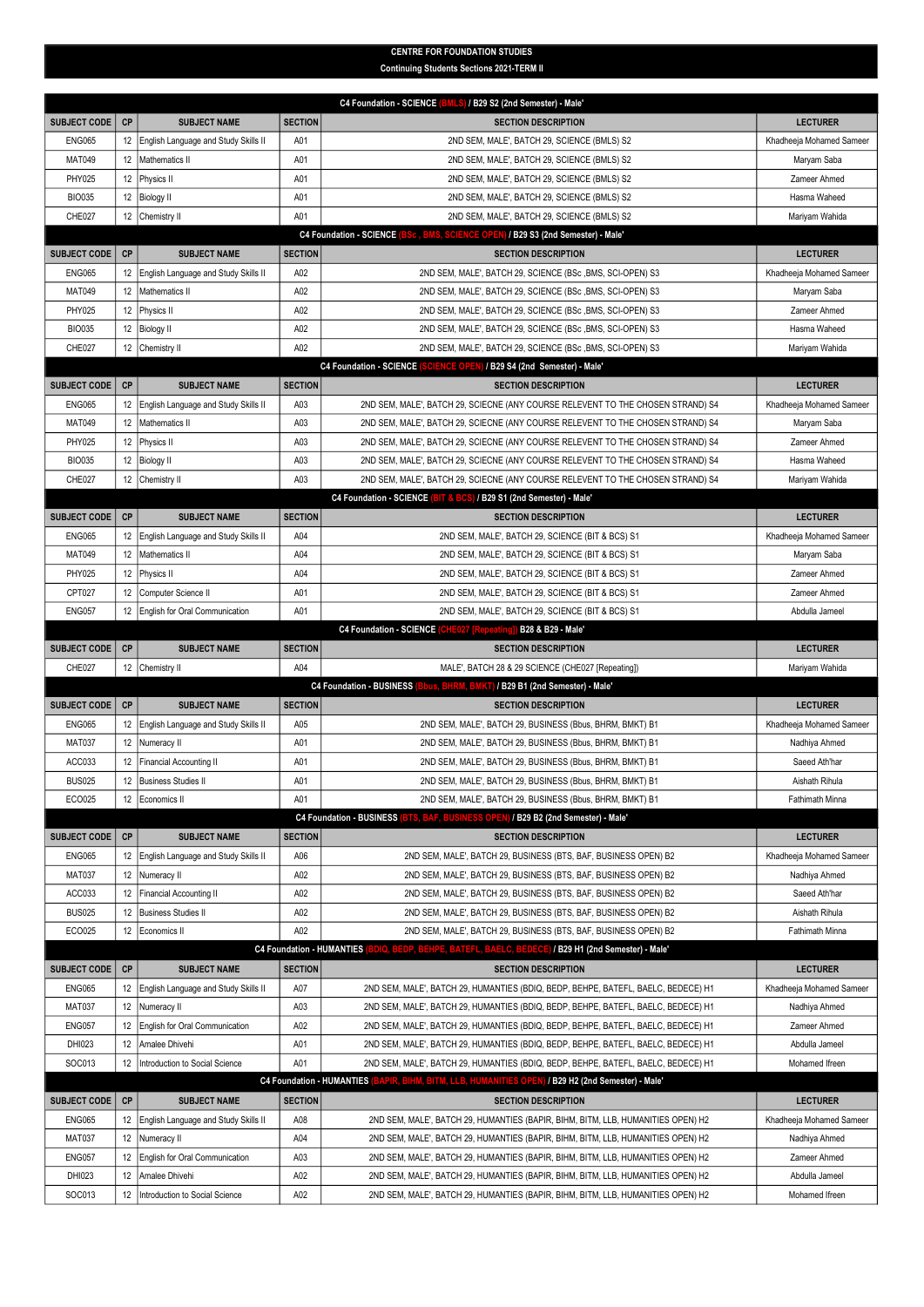## CENTRE FOR FOUNDATION STUDIES Continuing Students Sections 2021-TERM II

| C4 Foundation - SCIENCE (BMLS) / B29 S2 (2nd Semester) - Male' |    |                                      |                                  |                                                                                                     |                          |  |  |  |
|----------------------------------------------------------------|----|--------------------------------------|----------------------------------|-----------------------------------------------------------------------------------------------------|--------------------------|--|--|--|
| <b>SUBJECT CODE</b>                                            | CP | <b>SUBJECT NAME</b>                  | <b>SECTION</b>                   | <b>SECTION DESCRIPTION</b>                                                                          | <b>LECTURER</b>          |  |  |  |
| <b>ENG065</b>                                                  | 12 | English Language and Study Skills II | A01                              | 2ND SEM, MALE', BATCH 29, SCIENCE (BMLS) S2                                                         | Khadheeja Mohamed Sameer |  |  |  |
| <b>MAT049</b>                                                  | 12 | Mathematics II                       | A01                              | 2ND SEM, MALE', BATCH 29, SCIENCE (BMLS) S2                                                         | Maryam Saba              |  |  |  |
| PHY025                                                         | 12 | Physics II                           | A01                              | 2ND SEM, MALE', BATCH 29, SCIENCE (BMLS) S2                                                         | Zameer Ahmed             |  |  |  |
| <b>BIO035</b>                                                  | 12 | <b>Biology II</b>                    | A01                              | 2ND SEM, MALE', BATCH 29, SCIENCE (BMLS) S2                                                         | Hasma Waheed             |  |  |  |
| CHE027                                                         |    | 12 Chemistry II                      | A01                              | 2ND SEM, MALE', BATCH 29, SCIENCE (BMLS) S2                                                         | Mariyam Wahida           |  |  |  |
|                                                                |    |                                      |                                  | <b>C4 Foundation - SCIENCE</b><br>BSc, BMS, SCIENCE OPEN) / B29 S3 (2nd Semester) - Male'           |                          |  |  |  |
| <b>SUBJECT CODE</b>                                            | CP | <b>SUBJECT NAME</b>                  | <b>SECTION</b>                   | <b>SECTION DESCRIPTION</b>                                                                          | <b>LECTURER</b>          |  |  |  |
| <b>ENG065</b>                                                  | 12 | English Language and Study Skills II | A02                              | 2ND SEM, MALE', BATCH 29, SCIENCE (BSc , BMS, SCI-OPEN) S3                                          | Khadheeja Mohamed Sameer |  |  |  |
| <b>MAT049</b>                                                  | 12 | Mathematics II                       | A02                              | 2ND SEM, MALE', BATCH 29, SCIENCE (BSc , BMS, SCI-OPEN) S3                                          | Maryam Saba              |  |  |  |
| PHY025                                                         | 12 | Physics II                           | A02                              | 2ND SEM, MALE', BATCH 29, SCIENCE (BSc , BMS, SCI-OPEN) S3                                          | Zameer Ahmed             |  |  |  |
| <b>BIO035</b>                                                  | 12 | <b>Biology II</b>                    | A02                              | 2ND SEM, MALE', BATCH 29, SCIENCE (BSc , BMS, SCI-OPEN) S3                                          | Hasma Waheed             |  |  |  |
| CHE027                                                         | 12 | Chemistry II                         | A02                              | 2ND SEM, MALE', BATCH 29, SCIENCE (BSc, BMS, SCI-OPEN) S3                                           | Mariyam Wahida           |  |  |  |
|                                                                |    |                                      |                                  | C4 Foundation - SCIENCE (SCIENCE OPEN) / B29 S4 (2nd Semester) - Male'                              |                          |  |  |  |
| <b>SUBJECT CODE</b>                                            | CP | <b>SUBJECT NAME</b>                  | <b>SECTION</b>                   | <b>SECTION DESCRIPTION</b>                                                                          | <b>LECTURER</b>          |  |  |  |
| <b>ENG065</b>                                                  | 12 | English Language and Study Skills II | A03                              | 2ND SEM, MALE', BATCH 29, SCIECNE (ANY COURSE RELEVENT TO THE CHOSEN STRAND) S4                     | Khadheeja Mohamed Sameer |  |  |  |
| <b>MAT049</b>                                                  | 12 | Mathematics II                       | A03                              | 2ND SEM, MALE', BATCH 29, SCIECNE (ANY COURSE RELEVENT TO THE CHOSEN STRAND) S4                     | Maryam Saba              |  |  |  |
| <b>PHY025</b>                                                  | 12 | Physics II                           | A03                              | 2ND SEM, MALE', BATCH 29, SCIECNE (ANY COURSE RELEVENT TO THE CHOSEN STRAND) S4                     | Zameer Ahmed             |  |  |  |
| <b>BIO035</b>                                                  | 12 | <b>Biology II</b>                    | A03                              | 2ND SEM, MALE', BATCH 29, SCIECNE (ANY COURSE RELEVENT TO THE CHOSEN STRAND) S4                     | Hasma Waheed             |  |  |  |
| CHE027                                                         | 12 | Chemistry II                         | A03                              | 2ND SEM, MALE', BATCH 29, SCIECNE (ANY COURSE RELEVENT TO THE CHOSEN STRAND) S4                     | Mariyam Wahida           |  |  |  |
|                                                                |    |                                      |                                  | C4 Foundation - SCIENCE (BIT & BCS) / B29 S1 (2nd Semester) - Male'                                 |                          |  |  |  |
| <b>SUBJECT CODE</b>                                            | CP | <b>SUBJECT NAME</b>                  | <b>SECTION</b>                   | <b>SECTION DESCRIPTION</b>                                                                          | <b>LECTURER</b>          |  |  |  |
| <b>ENG065</b>                                                  | 12 | English Language and Study Skills II | A04                              | 2ND SEM, MALE', BATCH 29, SCIENCE (BIT & BCS) S1                                                    | Khadheeja Mohamed Sameer |  |  |  |
| <b>MAT049</b>                                                  | 12 | Mathematics II                       | A04                              | 2ND SEM, MALE', BATCH 29, SCIENCE (BIT & BCS) S1                                                    | Maryam Saba              |  |  |  |
| <b>PHY025</b>                                                  | 12 | Physics II                           | A04                              | 2ND SEM, MALE', BATCH 29, SCIENCE (BIT & BCS) S1                                                    | Zameer Ahmed             |  |  |  |
| CPT027                                                         | 12 | Computer Science II                  | A01                              | 2ND SEM, MALE', BATCH 29, SCIENCE (BIT & BCS) S1                                                    | Zameer Ahmed             |  |  |  |
| <b>ENG057</b>                                                  | 12 | English for Oral Communication       | A01                              | 2ND SEM, MALE', BATCH 29, SCIENCE (BIT & BCS) S1                                                    | Abdulla Jameel           |  |  |  |
|                                                                |    |                                      |                                  | C4 Foundation - SCIENCE (CHE027 [Repeating]) B28 & B29 - Male'                                      |                          |  |  |  |
| <b>SUBJECT CODE</b>                                            | CP | <b>SUBJECT NAME</b>                  | <b>SECTION</b>                   | <b>SECTION DESCRIPTION</b>                                                                          | <b>LECTURER</b>          |  |  |  |
| CHE027                                                         | 12 | Chemistry II                         | A04                              | MALE', BATCH 28 & 29 SCIENCE (CHE027 [Repeating])                                                   | Mariyam Wahida           |  |  |  |
|                                                                |    |                                      |                                  | C4 Foundation - BUSINESS (Bbus, BHRM, BMKT) / B29 B1 (2nd Semester) - Male'                         |                          |  |  |  |
| <b>SUBJECT CODE</b>                                            | CP | <b>SUBJECT NAME</b>                  | <b>SECTION</b>                   | <b>SECTION DESCRIPTION</b>                                                                          | <b>LECTURER</b>          |  |  |  |
| <b>ENG065</b>                                                  | 12 | English Language and Study Skills II | A05                              | 2ND SEM, MALE', BATCH 29, BUSINESS (Bbus, BHRM, BMKT) B1                                            | Khadheeja Mohamed Sameer |  |  |  |
| <b>MAT037</b>                                                  | 12 | Numeracy II                          | A01                              | 2ND SEM, MALE', BATCH 29, BUSINESS (Bbus, BHRM, BMKT) B1                                            | Nadhiya Ahmed            |  |  |  |
| ACC033                                                         | 12 | <b>Financial Accounting II</b>       | A01                              | 2ND SEM, MALE', BATCH 29, BUSINESS (Bbus, BHRM, BMKT) B1                                            | Saeed Ath'har            |  |  |  |
| <b>BUS025</b>                                                  | 12 | <b>Business Studies II</b>           | A01                              | 2ND SEM, MALE', BATCH 29, BUSINESS (Bbus, BHRM, BMKT) B1                                            | Aishath Rihula           |  |  |  |
| ECO025                                                         | 12 | Economics II                         | A01                              | 2ND SEM, MALE', BATCH 29, BUSINESS (Bbus, BHRM, BMKT) B1                                            | Fathimath Minna          |  |  |  |
|                                                                |    |                                      |                                  | <b>C4 Foundation - BUSINESS</b><br><b>BTS, BAF, BUSINESS OPEN) / B29 B2 (2nd Semester) - Male'</b>  |                          |  |  |  |
| <b>SUBJECT CODE</b>                                            | CP | <b>SUBJECT NAME</b>                  | <b>SECTION</b>                   | <b>SECTION DESCRIPTION</b>                                                                          | <b>LECTURER</b>          |  |  |  |
| <b>ENG065</b>                                                  | 12 | English Language and Study Skills II | A06                              | 2ND SEM, MALE', BATCH 29, BUSINESS (BTS, BAF, BUSINESS OPEN) B2                                     | Khadheeja Mohamed Sameer |  |  |  |
| <b>MAT037</b>                                                  | 12 | Numeracy II                          | A02                              | 2ND SEM, MALE', BATCH 29, BUSINESS (BTS, BAF, BUSINESS OPEN) B2                                     | Nadhiya Ahmed            |  |  |  |
| ACC033                                                         | 12 | <b>Financial Accounting II</b>       | A02                              | 2ND SEM, MALE', BATCH 29, BUSINESS (BTS, BAF, BUSINESS OPEN) B2                                     | Saeed Ath'har            |  |  |  |
| <b>BUS025</b>                                                  | 12 | <b>Business Studies II</b>           | A02                              | 2ND SEM, MALE', BATCH 29, BUSINESS (BTS, BAF, BUSINESS OPEN) B2                                     | Aishath Rihula           |  |  |  |
| ECO025                                                         | 12 | Economics II                         | A02                              | 2ND SEM, MALE', BATCH 29, BUSINESS (BTS, BAF, BUSINESS OPEN) B2                                     | Fathimath Minna          |  |  |  |
|                                                                |    |                                      | <b>C4 Foundation - HUMANTIES</b> | BEDP, BEHPE, BATEFL, BAELC, BEDECE) / B29 H1 (2nd Semester) - Male'                                 |                          |  |  |  |
| <b>SUBJECT CODE</b>                                            | CP | <b>SUBJECT NAME</b>                  | <b>SECTION</b>                   | <b>SECTION DESCRIPTION</b>                                                                          | <b>LECTURER</b>          |  |  |  |
| <b>ENG065</b>                                                  | 12 | English Language and Study Skills II | A07                              | 2ND SEM, MALE', BATCH 29, HUMANTIES (BDIQ, BEDP, BEHPE, BATEFL, BAELC, BEDECE) H1                   | Khadheeja Mohamed Sameer |  |  |  |
| <b>MAT037</b>                                                  | 12 | Numeracy II                          | A03                              | 2ND SEM, MALE', BATCH 29, HUMANTIES (BDIQ, BEDP, BEHPE, BATEFL, BAELC, BEDECE) H1                   | Nadhiya Ahmed            |  |  |  |
| <b>ENG057</b>                                                  | 12 | English for Oral Communication       | A02                              | 2ND SEM, MALE', BATCH 29, HUMANTIES (BDIQ, BEDP, BEHPE, BATEFL, BAELC, BEDECE) H1                   | Zameer Ahmed             |  |  |  |
| DHI023                                                         | 12 | Amalee Dhivehi                       | A01                              | 2ND SEM, MALE', BATCH 29, HUMANTIES (BDIQ, BEDP, BEHPE, BATEFL, BAELC, BEDECE) H1                   | Abdulla Jameel           |  |  |  |
| SOC013                                                         | 12 | Introduction to Social Science       | A01                              | 2ND SEM, MALE', BATCH 29, HUMANTIES (BDIQ, BEDP, BEHPE, BATEFL, BAELC, BEDECE) H1                   | Mohamed Ifreen           |  |  |  |
|                                                                |    |                                      |                                  | C4 Foundation - HUMANTIES (BAPIR, BIHM, BITM, LLB, HUMANITIES OPEN) / B29 H2 (2nd Semester) - Male' |                          |  |  |  |
| <b>SUBJECT CODE</b>                                            | CP | <b>SUBJECT NAME</b>                  | <b>SECTION</b>                   | <b>SECTION DESCRIPTION</b>                                                                          | <b>LECTURER</b>          |  |  |  |
| <b>ENG065</b>                                                  | 12 | English Language and Study Skills II | A08                              | 2ND SEM, MALE', BATCH 29, HUMANTIES (BAPIR, BIHM, BITM, LLB, HUMANITIES OPEN) H2                    | Khadheeja Mohamed Sameer |  |  |  |
| <b>MAT037</b>                                                  | 12 | Numeracy II                          | A04                              | 2ND SEM, MALE', BATCH 29, HUMANTIES (BAPIR, BIHM, BITM, LLB, HUMANITIES OPEN) H2                    | Nadhiya Ahmed            |  |  |  |
| <b>ENG057</b>                                                  | 12 | English for Oral Communication       | A03                              | 2ND SEM, MALE', BATCH 29, HUMANTIES (BAPIR, BIHM, BITM, LLB, HUMANITIES OPEN) H2                    | Zameer Ahmed             |  |  |  |
| DHI023                                                         | 12 | Amalee Dhivehi                       | A02<br>A02                       | 2ND SEM, MALE', BATCH 29, HUMANTIES (BAPIR, BIHM, BITM, LLB, HUMANITIES OPEN) H2                    | Abdulla Jameel           |  |  |  |
| SOC013                                                         | 12 | Introduction to Social Science       |                                  | 2ND SEM, MALE', BATCH 29, HUMANTIES (BAPIR, BIHM, BITM, LLB, HUMANITIES OPEN) H2                    | Mohamed Ifreen           |  |  |  |